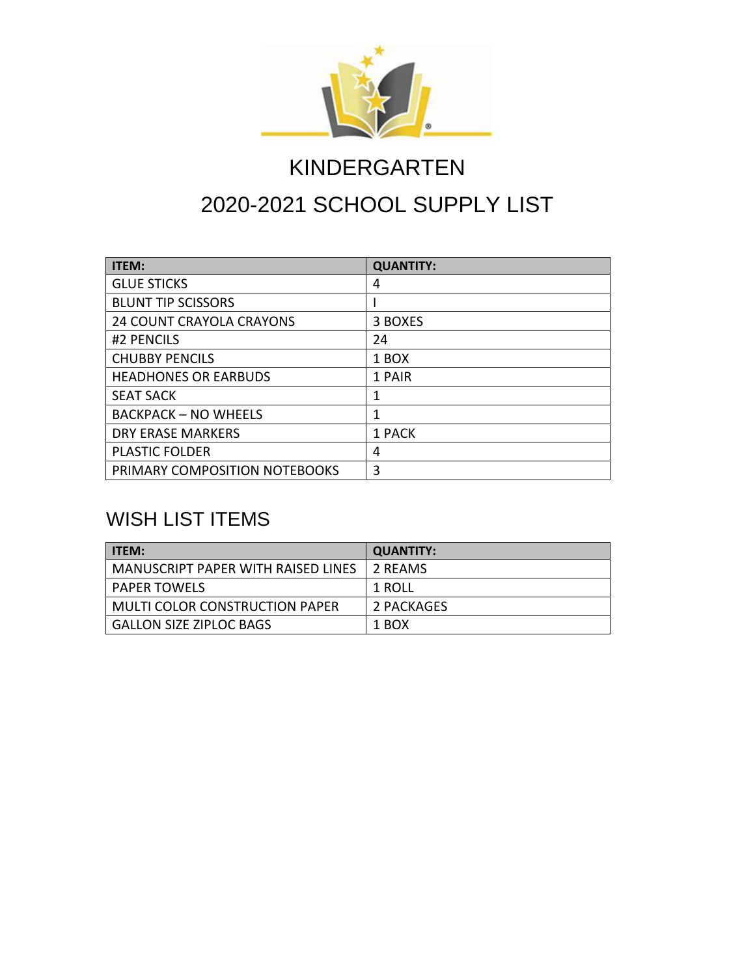

### KINDERGARTEN

### 2020-2021 SCHOOL SUPPLY LIST

| <b>ITEM:</b>                    | <b>QUANTITY:</b> |
|---------------------------------|------------------|
| <b>GLUE STICKS</b>              | 4                |
| <b>BLUNT TIP SCISSORS</b>       |                  |
| <b>24 COUNT CRAYOLA CRAYONS</b> | 3 BOXES          |
| #2 PENCILS                      | 24               |
| <b>CHUBBY PENCILS</b>           | 1 BOX            |
| <b>HEADHONES OR EARBUDS</b>     | 1 PAIR           |
| <b>SEAT SACK</b>                | 1                |
| <b>BACKPACK - NO WHEELS</b>     | 1                |
| <b>DRY ERASE MARKERS</b>        | 1 PACK           |
| <b>PLASTIC FOLDER</b>           | 4                |
| PRIMARY COMPOSITION NOTEBOOKS   | 3                |

| <b>ITEM:</b>                          | <b>QUANTITY:</b> |
|---------------------------------------|------------------|
| MANUSCRIPT PAPER WITH RAISED LINES    | 2 REAMS          |
| <b>PAPER TOWELS</b>                   | 1 ROLL           |
| <b>MULTI COLOR CONSTRUCTION PAPER</b> | 2 PACKAGES       |
| <b>GALLON SIZE ZIPLOC BAGS</b>        | 1 BOX            |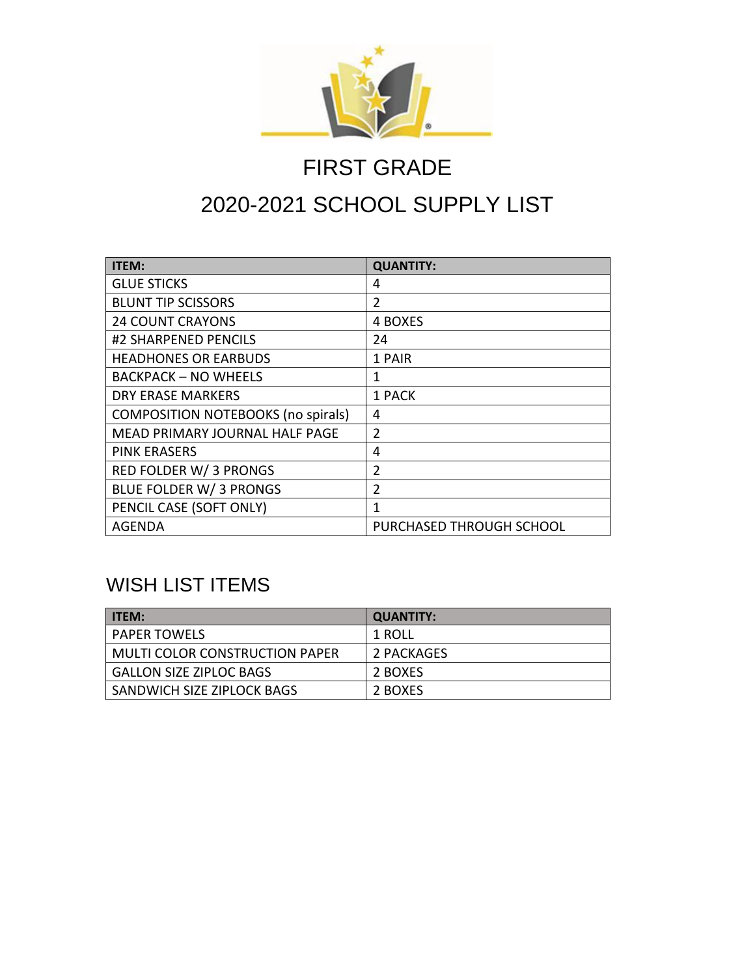

# FIRST GRADE

### 2020-2021 SCHOOL SUPPLY LIST

| <b>ITEM:</b>                              | <b>QUANTITY:</b>         |
|-------------------------------------------|--------------------------|
| <b>GLUE STICKS</b>                        | 4                        |
| <b>BLUNT TIP SCISSORS</b>                 | $\overline{2}$           |
| <b>24 COUNT CRAYONS</b>                   | 4 BOXES                  |
| #2 SHARPENED PENCILS                      | 24                       |
| <b>HEADHONES OR EARBUDS</b>               | 1 PAIR                   |
| <b>BACKPACK - NO WHEELS</b>               | 1                        |
| <b>DRY ERASE MARKERS</b>                  | 1 PACK                   |
| <b>COMPOSITION NOTEBOOKS (no spirals)</b> | 4                        |
| MEAD PRIMARY JOURNAL HALF PAGE            | $\overline{2}$           |
| <b>PINK ERASERS</b>                       | 4                        |
| <b>RED FOLDER W/ 3 PRONGS</b>             | $\overline{2}$           |
| BLUE FOLDER W/ 3 PRONGS                   | $\mathfrak{D}$           |
| PENCIL CASE (SOFT ONLY)                   | 1                        |
| AGENDA                                    | PURCHASED THROUGH SCHOOL |

| <b>I</b> ITEM:                        | <b>QUANTITY:</b> |
|---------------------------------------|------------------|
| <b>PAPER TOWELS</b>                   | 1 ROLL           |
| <b>MULTI COLOR CONSTRUCTION PAPER</b> | 2 PACKAGES       |
| <b>GALLON SIZE ZIPLOC BAGS</b>        | 2 BOXES          |
| SANDWICH SIZE ZIPLOCK BAGS            | 2 BOXES          |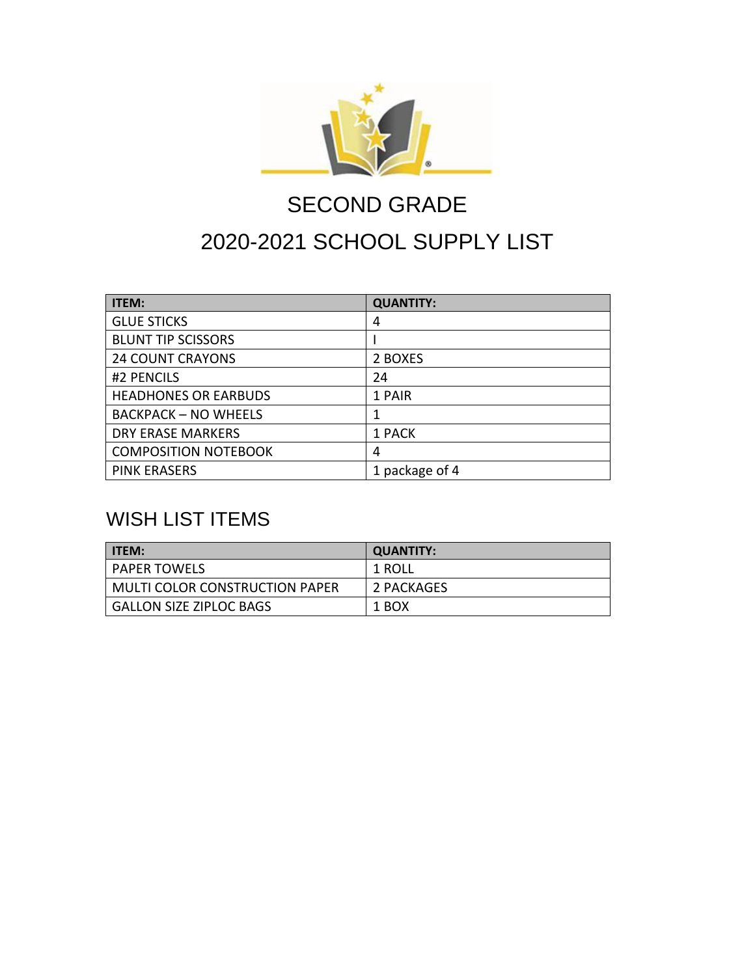

## SECOND GRADE 2020-2021 SCHOOL SUPPLY LIST

| <b>ITEM:</b>                | <b>QUANTITY:</b> |
|-----------------------------|------------------|
| <b>GLUE STICKS</b>          | 4                |
| <b>BLUNT TIP SCISSORS</b>   |                  |
| <b>24 COUNT CRAYONS</b>     | 2 BOXES          |
| #2 PENCILS                  | 24               |
| <b>HEADHONES OR EARBUDS</b> | 1 PAIR           |
| <b>BACKPACK - NO WHEELS</b> |                  |
| <b>DRY ERASE MARKERS</b>    | 1 PACK           |
| <b>COMPOSITION NOTEBOOK</b> | 4                |
| <b>PINK ERASERS</b>         | 1 package of 4   |

| <b>ITEM:</b>                          | <b>QUANTITY:</b> |
|---------------------------------------|------------------|
| <b>PAPER TOWELS</b>                   | 1 ROLL           |
| <b>MULTI COLOR CONSTRUCTION PAPER</b> | 2 PACKAGES       |
| <b>GALLON SIZE ZIPLOC BAGS</b>        | 1 BOX            |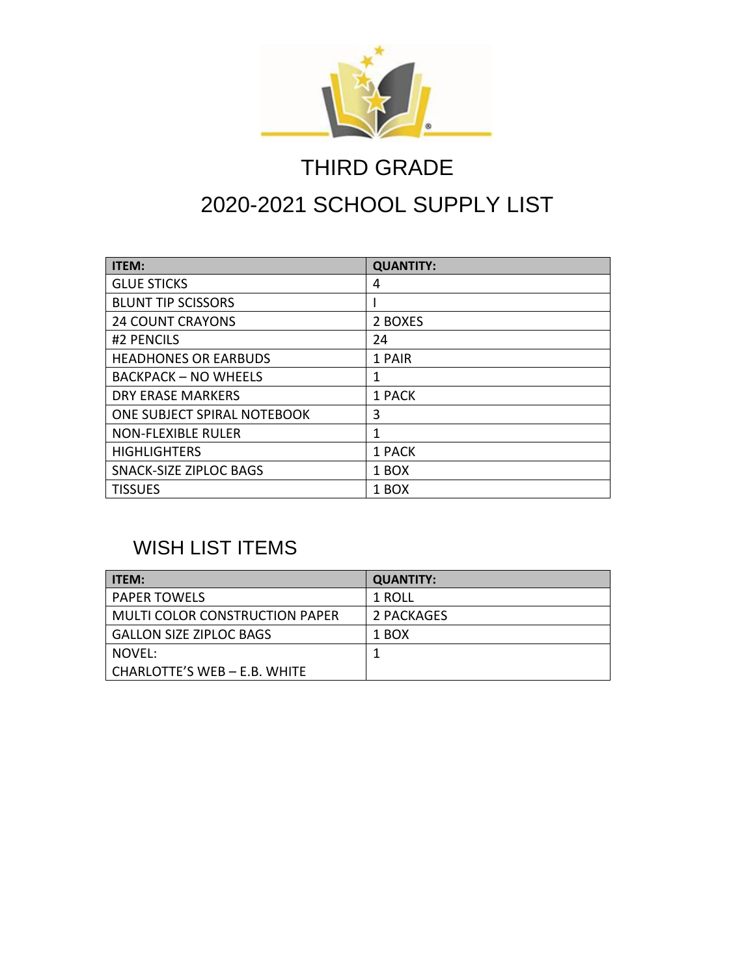

### THIRD GRADE

### 2020-2021 SCHOOL SUPPLY LIST

| <b>ITEM:</b>                  | <b>QUANTITY:</b> |
|-------------------------------|------------------|
| <b>GLUE STICKS</b>            | 4                |
| <b>BLUNT TIP SCISSORS</b>     |                  |
| <b>24 COUNT CRAYONS</b>       | 2 BOXES          |
| #2 PENCILS                    | 24               |
| <b>HEADHONES OR EARBUDS</b>   | 1 PAIR           |
| <b>BACKPACK - NO WHEELS</b>   | 1                |
| DRY ERASE MARKERS             | 1 PACK           |
| ONE SUBJECT SPIRAL NOTEBOOK   | 3                |
| <b>NON-FLEXIBLE RULER</b>     | 1                |
| <b>HIGHLIGHTERS</b>           | 1 PACK           |
| <b>SNACK-SIZE ZIPLOC BAGS</b> | 1 BOX            |
| <b>TISSUES</b>                | 1 BOX            |

| <b>ITEM:</b>                   | <b>QUANTITY:</b> |
|--------------------------------|------------------|
| <b>PAPER TOWELS</b>            | 1 ROLL           |
| MULTI COLOR CONSTRUCTION PAPER | 2 PACKAGES       |
| <b>GALLON SIZE ZIPLOC BAGS</b> | 1 BOX            |
| NOVEL:                         |                  |
| CHARLOTTE'S WEB - E.B. WHITE   |                  |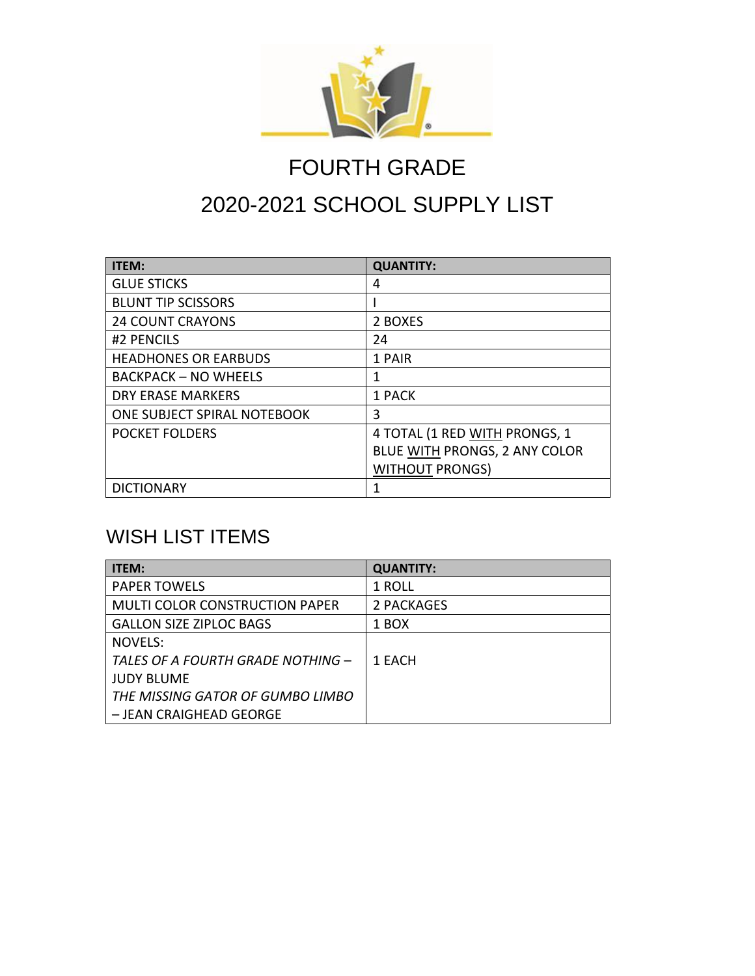

## FOURTH GRADE 2020-2021 SCHOOL SUPPLY LIST

| <b>ITEM:</b>                | <b>QUANTITY:</b>              |
|-----------------------------|-------------------------------|
| <b>GLUE STICKS</b>          | 4                             |
| <b>BLUNT TIP SCISSORS</b>   |                               |
| <b>24 COUNT CRAYONS</b>     | 2 BOXES                       |
| #2 PENCILS                  | 24                            |
| <b>HEADHONES OR EARBUDS</b> | 1 PAIR                        |
| <b>BACKPACK - NO WHEELS</b> |                               |
| <b>DRY ERASE MARKERS</b>    | 1 PACK                        |
| ONE SUBJECT SPIRAL NOTEBOOK | 3                             |
| <b>POCKET FOLDERS</b>       | 4 TOTAL (1 RED WITH PRONGS, 1 |
|                             | BLUE WITH PRONGS, 2 ANY COLOR |
|                             | <b>WITHOUT PRONGS)</b>        |
| <b>DICTIONARY</b>           |                               |

| <b>ITEM:</b>                          | <b>QUANTITY:</b> |
|---------------------------------------|------------------|
| <b>PAPER TOWELS</b>                   | 1 ROLL           |
| <b>MULTI COLOR CONSTRUCTION PAPER</b> | 2 PACKAGES       |
| <b>GALLON SIZE ZIPLOC BAGS</b>        | 1 BOX            |
| <b>NOVELS:</b>                        |                  |
| TALES OF A FOURTH GRADE NOTHING -     | 1 EACH           |
| <b>JUDY BLUME</b>                     |                  |
| THE MISSING GATOR OF GUMBO LIMBO      |                  |
| - JEAN CRAIGHEAD GEORGE               |                  |